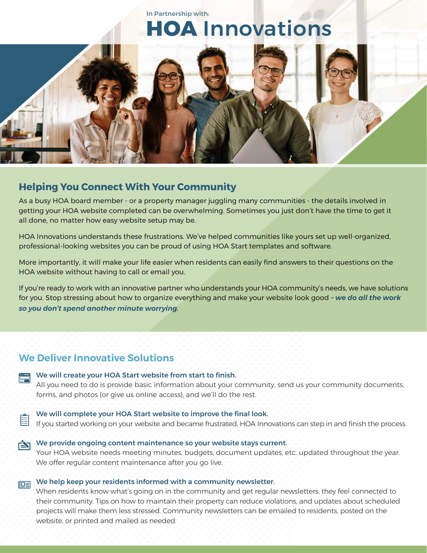

### **Helping You Connect With Your Community**

As a busy HOA board member - or a property manager juggling many communities - the details involved in getting your HOA website completed can be overwhelming. Sometimes you just don't have the time to get it all done, no matter how easy website setup may be.

HOA Innovations understands these frustrations. We've helped communities like yours set up well-organized, professional-looking websites you can be proud of using HOA Start templates and software.

More importantly, it will make your life easier when residents can easily find answers to their questions on the HOA website without having to call or email you.

If you're ready to work with an innovative partner who understands your HOA community's needs, we have solutions for you. Stop stressing about how to organize everything and make your website look good *– we do all the work so you don't spend another minute worrying.* 

### **We Deliver Innovative Solutions**

| ⋿ | We will create your HOA Start website from start to finish.<br>All you need to do is provide basic information about your community, send us your community documents,<br>forms, and photos (or give us online access), and we'll do the rest. |
|---|------------------------------------------------------------------------------------------------------------------------------------------------------------------------------------------------------------------------------------------------|
| 圍 | We will complete your HOA Start website to improve the final look.<br>If you started working on your website and became frustrated, HOA Innovations can step in and finish the process.                                                        |

```
We provide ongoing content maintenance so your website stays current.
 Your HOA website needs meeting minutes, budgets, document updates, etc. updated throughout the year. 
We offer regular content maintenance after you go live.
```
# $\sqrt{\log n}$  We help keep your residents informed with a community newsletter.

When residents know what's going on in the community and get regular newsletters, they feel connected to their community. Tips on how to maintain their property can reduce violations, and updates about scheduled projects will make them less stressed. Community newsletters can be emailed to residents, posted on the website, or printed and mailed as needed.